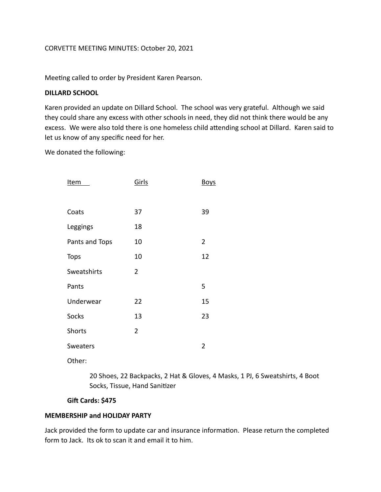## CORVETTE MEETING MINUTES: October 20, 2021

Meeting called to order by President Karen Pearson.

### **DILLARD SCHOOL**

Karen provided an update on Dillard School. The school was very grateful. Although we said they could share any excess with other schools in need, they did not think there would be any excess. We were also told there is one homeless child attending school at Dillard. Karen said to let us know of any specific need for her.

We donated the following:

| <u>Item</u>     | Girls          | <b>Boys</b>    |
|-----------------|----------------|----------------|
|                 |                |                |
| Coats           | 37             | 39             |
| Leggings        | 18             |                |
| Pants and Tops  | 10             | $\overline{2}$ |
| <b>Tops</b>     | 10             | 12             |
| Sweatshirts     | 2              |                |
| Pants           |                | 5              |
| Underwear       | 22             | 15             |
| <b>Socks</b>    | 13             | 23             |
| <b>Shorts</b>   | $\overline{2}$ |                |
| <b>Sweaters</b> |                | $\overline{2}$ |
|                 |                |                |

Other:

20 Shoes, 22 Backpacks, 2 Hat & Gloves, 4 Masks, 1 PJ, 6 Sweatshirts, 4 Boot Socks, Tissue, Hand Sanitizer

# **Gift Cards: \$475**

### **MEMBERSHIP and HOLIDAY PARTY**

Jack provided the form to update car and insurance information. Please return the completed form to Jack. Its ok to scan it and email it to him.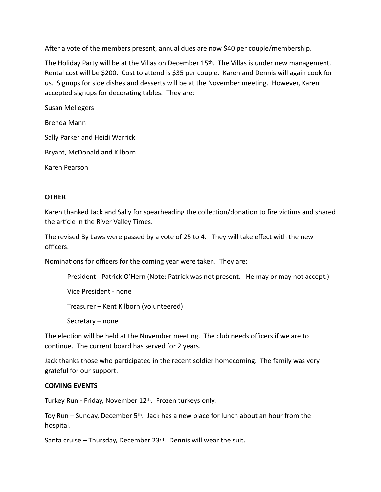After a vote of the members present, annual dues are now \$40 per couple/membership.

The Holiday Party will be at the Villas on December 15th. The Villas is under new management. Rental cost will be \$200. Cost to attend is \$35 per couple. Karen and Dennis will again cook for us. Signups for side dishes and desserts will be at the November meeting. However, Karen accepted signups for decorating tables. They are:

Susan Mellegers

Brenda Mann

Sally Parker and Heidi Warrick

Bryant, McDonald and Kilborn

Karen Pearson

### **OTHER**

Karen thanked Jack and Sally for spearheading the collection/donation to fire victims and shared the article in the River Valley Times.

The revised By Laws were passed by a vote of 25 to 4. They will take effect with the new officers.

Nominations for officers for the coming year were taken. They are:

President - Patrick O'Hern (Note: Patrick was not present. He may or may not accept.)

Vice President - none

Treasurer – Kent Kilborn (volunteered)

Secretary – none

The election will be held at the November meeting. The club needs officers if we are to continue. The current board has served for 2 years.

Jack thanks those who participated in the recent soldier homecoming. The family was very grateful for our support.

#### **COMING EVENTS**

Turkey Run - Friday, November 12th. Frozen turkeys only.

Toy Run – Sunday, December 5th. Jack has a new place for lunch about an hour from the hospital.

Santa cruise – Thursday, December 23rd. Dennis will wear the suit.